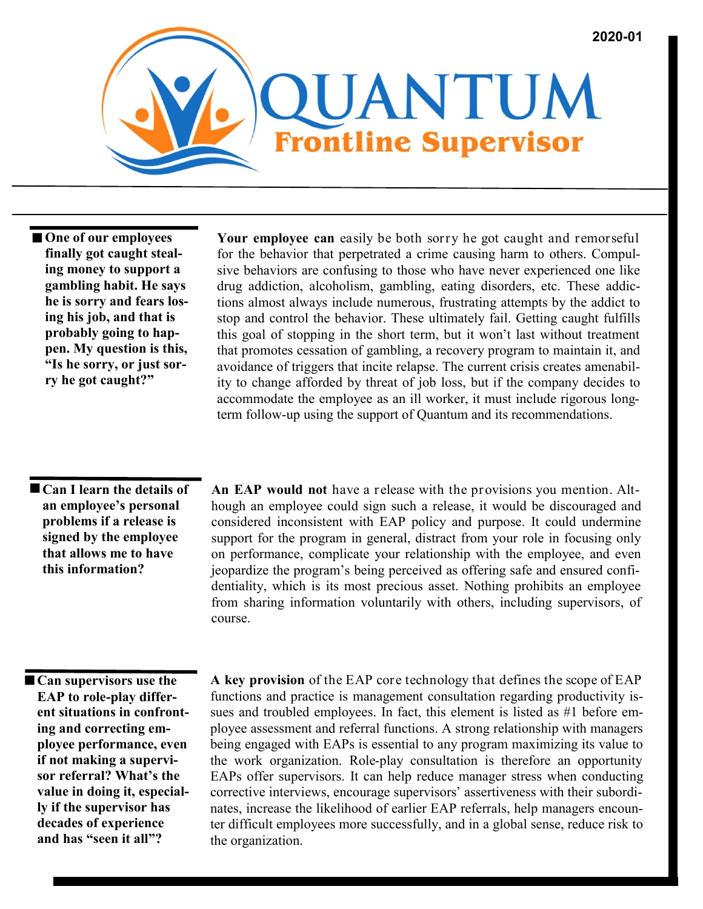

■ One of our employees **finally got caught stealing money to support a gambling habit. He says he is sorry and fears losing his job, and that is probably going to happen. My question is this, "Is he sorry, or just sorry he got caught?"**

**Your employee can** easily be both sorry he got caught and remorseful for the behavior that perpetrated a crime causing harm to others. Compulsive behaviors are confusing to those who have never experienced one like drug addiction, alcoholism, gambling, eating disorders, etc. These addictions almost always include numerous, frustrating attempts by the addict to stop and control the behavior. These ultimately fail. Getting caught fulfills this goal of stopping in the short term, but it won't last without treatment that promotes cessation of gambling, a recovery program to maintain it, and avoidance of triggers that incite relapse. The current crisis creates amenability to change afforded by threat of job loss, but if the company decides to accommodate the employee as an ill worker, it must include rigorous longterm follow-up using the support of Quantum and its recommendations.

 **Can I learn the details of an employee's personal problems if a release is signed by the employee that allows me to have this information?** 

**An EAP would not** have a release with the provisions you mention. Although an employee could sign such a release, it would be discouraged and considered inconsistent with EAP policy and purpose. It could undermine support for the program in general, distract from your role in focusing only on performance, complicate your relationship with the employee, and even jeopardize the program's being perceived as offering safe and ensured confidentiality, which is its most precious asset. Nothing prohibits an employee from sharing information voluntarily with others, including supervisors, of course.

**Can supervisors use the EAP to role-play different situations in confronting and correcting employee performance, even if not making a supervisor referral? What's the value in doing it, especially if the supervisor has decades of experience and has "seen it all"?**

**A key provision** of the EAP core technology that defines the scope of EAP functions and practice is management consultation regarding productivity issues and troubled employees. In fact, this element is listed as #1 before employee assessment and referral functions. A strong relationship with managers being engaged with EAPs is essential to any program maximizing its value to the work organization. Role-play consultation is therefore an opportunity EAPs offer supervisors. It can help reduce manager stress when conducting corrective interviews, encourage supervisors' assertiveness with their subordinates, increase the likelihood of earlier EAP referrals, help managers encounter difficult employees more successfully, and in a global sense, reduce risk to the organization.